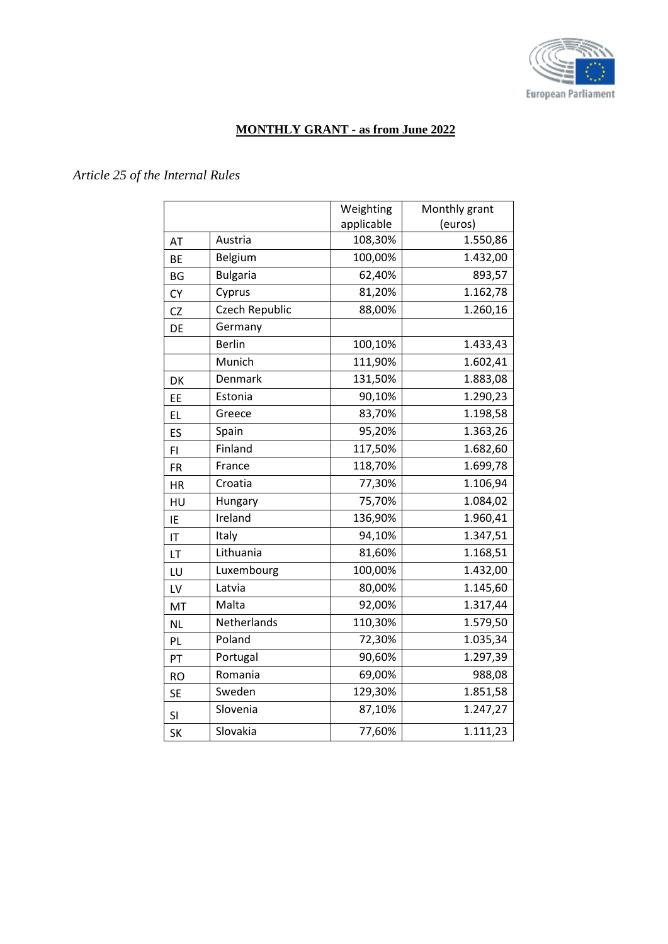

#### **MONTHLY GRANT - as from June 2022**

### *Article 25 of the Internal Rules*

|           |                       | Weighting  | Monthly grant |
|-----------|-----------------------|------------|---------------|
|           |                       | applicable | (euros)       |
| AT        | Austria               | 108,30%    | 1.550,86      |
| <b>BE</b> | Belgium               | 100,00%    | 1.432,00      |
| <b>BG</b> | <b>Bulgaria</b>       | 62,40%     | 893,57        |
| <b>CY</b> | Cyprus                | 81,20%     | 1.162,78      |
| <b>CZ</b> | <b>Czech Republic</b> | 88,00%     | 1.260,16      |
| DE        | Germany               |            |               |
|           | <b>Berlin</b>         | 100,10%    | 1.433,43      |
|           | Munich                | 111,90%    | 1.602,41      |
| DK        | Denmark               | 131,50%    | 1.883,08      |
| EE        | Estonia               | 90,10%     | 1.290,23      |
| <b>EL</b> | Greece                | 83,70%     | 1.198,58      |
| ES        | Spain                 | 95,20%     | 1.363,26      |
| FI.       | Finland               | 117,50%    | 1.682,60      |
| <b>FR</b> | France                | 118,70%    | 1.699,78      |
| <b>HR</b> | Croatia               | 77,30%     | 1.106,94      |
| HU        | Hungary               | 75,70%     | 1.084,02      |
| IE        | Ireland               | 136,90%    | 1.960,41      |
| IT        | Italy                 | 94,10%     | 1.347,51      |
| LT        | Lithuania             | 81,60%     | 1.168,51      |
| LU        | Luxembourg            | 100,00%    | 1.432,00      |
| LV        | Latvia                | 80,00%     | 1.145,60      |
| MT        | Malta                 | 92,00%     | 1.317,44      |
| <b>NL</b> | Netherlands           | 110,30%    | 1.579,50      |
| PL        | Poland                | 72,30%     | 1.035,34      |
| PT        | Portugal              | 90,60%     | 1.297,39      |
| <b>RO</b> | Romania               | 69,00%     | 988,08        |
| <b>SE</b> | Sweden                | 129,30%    | 1.851,58      |
| SI        | Slovenia              | 87,10%     | 1.247,27      |
| <b>SK</b> | Slovakia              | 77,60%     | 1.111,23      |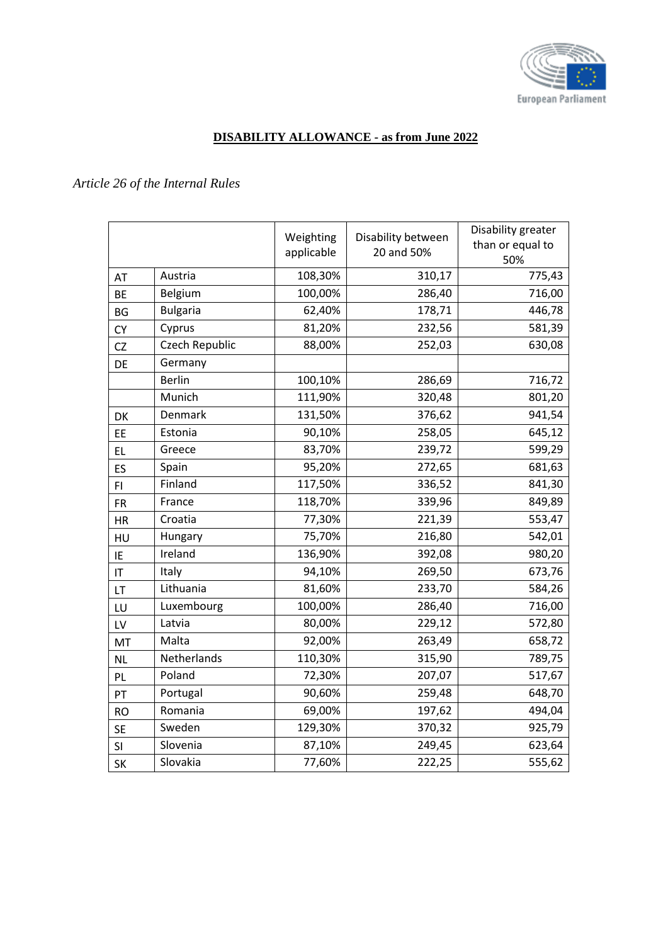

# **DISABILITY ALLOWANCE - as from June 2022**

# *Article 26 of the Internal Rules*

|           |                 | Weighting  | Disability between | Disability greater      |
|-----------|-----------------|------------|--------------------|-------------------------|
|           |                 | applicable | 20 and 50%         | than or equal to<br>50% |
| AT        | Austria         | 108,30%    | 310,17             | 775,43                  |
| <b>BE</b> | Belgium         | 100,00%    | 286,40             | 716,00                  |
| <b>BG</b> | <b>Bulgaria</b> | 62,40%     | 178,71             | 446,78                  |
| <b>CY</b> | Cyprus          | 81,20%     | 232,56             | 581,39                  |
| CZ        | Czech Republic  | 88,00%     | 252,03             | 630,08                  |
| DE        | Germany         |            |                    |                         |
|           | <b>Berlin</b>   | 100,10%    | 286,69             | 716,72                  |
|           | Munich          | 111,90%    | 320,48             | 801,20                  |
| DK        | Denmark         | 131,50%    | 376,62             | 941,54                  |
| EE        | Estonia         | 90,10%     | 258,05             | 645,12                  |
| EL.       | Greece          | 83,70%     | 239,72             | 599,29                  |
| ES        | Spain           | 95,20%     | 272,65             | 681,63                  |
| FI.       | Finland         | 117,50%    | 336,52             | 841,30                  |
| <b>FR</b> | France          | 118,70%    | 339,96             | 849,89                  |
| <b>HR</b> | Croatia         | 77,30%     | 221,39             | 553,47                  |
| HU        | Hungary         | 75,70%     | 216,80             | 542,01                  |
| IE        | Ireland         | 136,90%    | 392,08             | 980,20                  |
| IT        | Italy           | 94,10%     | 269,50             | 673,76                  |
| LT        | Lithuania       | 81,60%     | 233,70             | 584,26                  |
| LU        | Luxembourg      | 100,00%    | 286,40             | 716,00                  |
| LV        | Latvia          | 80,00%     | 229,12             | 572,80                  |
| MT        | Malta           | 92,00%     | 263,49             | 658,72                  |
| <b>NL</b> | Netherlands     | 110,30%    | 315,90             | 789,75                  |
| PL.       | Poland          | 72,30%     | 207,07             | 517,67                  |
| PT        | Portugal        | 90,60%     | 259,48             | 648,70                  |
| <b>RO</b> | Romania         | 69,00%     | 197,62             | 494,04                  |
| <b>SE</b> | Sweden          | 129,30%    | 370,32             | 925,79                  |
| SI        | Slovenia        | 87,10%     | 249,45             | 623,64                  |
| <b>SK</b> | Slovakia        | 77,60%     | 222,25             | 555,62                  |
|           |                 |            |                    |                         |